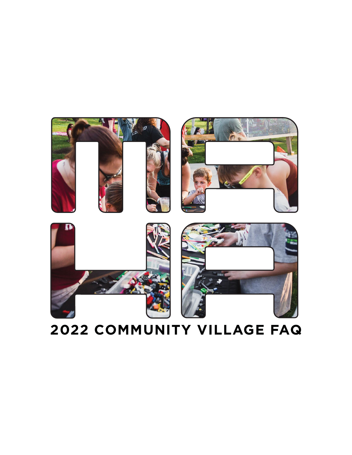### **2022 COMMUNITY VILLAGE FAQ**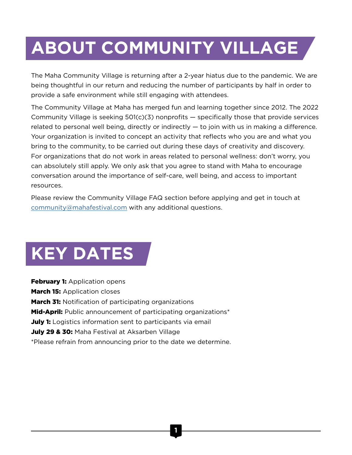# **ABOUT COMMUNITY VILLAGE**

The Maha Community Village is returning after a 2-year hiatus due to the pandemic. We are being thoughtful in our return and reducing the number of participants by half in order to provide a safe environment while still engaging with attendees.

The Community Village at Maha has merged fun and learning together since 2012. The 2022 Community Village is seeking  $501(c)(3)$  nonprofits  $-$  specifically those that provide services related to personal well being, directly or indirectly — to join with us in making a difference. Your organization is invited to concept an activity that reflects who you are and what you bring to the community, to be carried out during these days of creativity and discovery. For organizations that do not work in areas related to personal wellness: don't worry, you can absolutely still apply. We only ask that you agree to stand with Maha to encourage conversation around the importance of self-care, well being, and access to important resources.

Please review the Community Village FAQ section before applying and get in touch at [community@mahafestival.com](mailto:community%40mahafestival.com?subject=) with any additional questions.

# **KEY DATES**

**February 1: Application opens March 15: Application closes March 31:** Notification of participating organizations **Mid-April:** Public announcement of participating organizations<sup>\*</sup> July 1: Logistics information sent to participants via email July 29 & 30: Maha Festival at Aksarben Village \*Please refrain from announcing prior to the date we determine.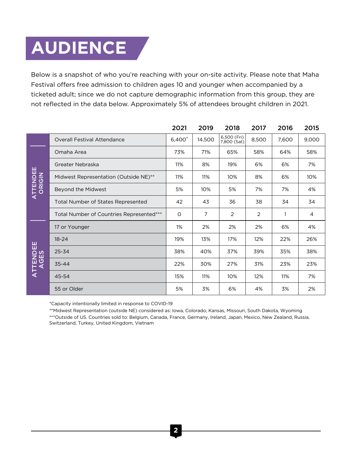# **AUDIENCE**

Below is a snapshot of who you're reaching with your on-site activity. Please note that Maha Festival offers free admission to children ages 10 and younger when accompanied by a ticketed adult; since we do not capture demographic information from this group, they are not reflected in the data below. Approximately 5% of attendees brought children in 2021.

|          |                                          | 2021               | 2019   | 2018                       | 2017           | 2016  | 2015  |
|----------|------------------------------------------|--------------------|--------|----------------------------|----------------|-------|-------|
|          | <b>Overall Festival Attendance</b>       | 6,400 <sup>*</sup> | 14,500 | 6,500 (Fri)<br>7,800 (Sat) | 8,500          | 7,600 | 9,000 |
| ATTENDEE | Omaha Area                               | 73%                | 71%    | 65%                        | 58%            | 64%   | 58%   |
|          | Greater Nebraska                         | 11%                | 8%     | 19%                        | 6%             | 6%    | 7%    |
|          | Midwest Representation (Outside NE)**    | 11%                | 11%    | 10%                        | 8%             | 6%    | 10%   |
|          | Beyond the Midwest                       | 5%                 | 10%    | 5%                         | 7%             | 7%    | 4%    |
|          | Total Number of States Represented       | 42                 | 43     | 36                         | 38             | 34    | 34    |
|          | Total Number of Countries Represented*** | 0                  | 7      | $\overline{2}$             | $\overline{2}$ |       | 4     |
| ATTENDEE | 17 or Younger                            | 1%                 | 2%     | 2%                         | 2%             | 6%    | 4%    |
|          | $18 - 24$                                | 19%                | 13%    | 17%                        | 12%            | 22%   | 26%   |
|          | 25-34                                    | 38%                | 40%    | 37%                        | 39%            | 35%   | 38%   |
|          | $35 - 44$                                | 22%                | 30%    | 27%                        | 31%            | 23%   | 23%   |
|          | 45-54                                    | 15%                | 11%    | 10%                        | 12%            | 11%   | 7%    |
|          | 55 or Older                              | 5%                 | 3%     | 6%                         | 4%             | 3%    | 2%    |

\*Capacity intentionally limited in response to COVID-19

\*\*Midwest Representation (outside NE) considered as: Iowa, Colorado, Kansas, Missouri, South Dakota, Wyoming \*\*\*Outside of US. Countries sold to: Belgium, Canada, France, Germany, Ireland, Japan, Mexico, New Zealand, Russia, Switzerland, Turkey, United Kingdom, Vietnam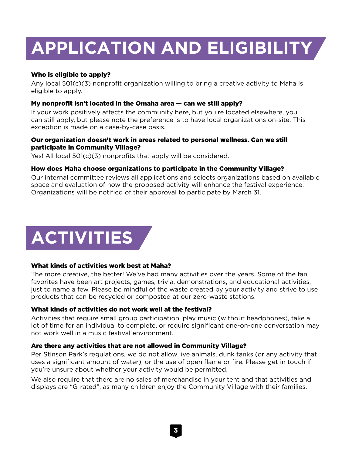# **APPLICATION AND ELIGIBILITY**

### Who is eligible to apply?

Any local 501(c)(3) nonprofit organization willing to bring a creative activity to Maha is eligible to apply.

#### My nonprofit isn't located in the Omaha area — can we still apply?

If your work positively affects the community here, but you're located elsewhere, you can still apply, but please note the preference is to have local organizations on-site. This exception is made on a case-by-case basis.

#### Our organization doesn't work in areas related to personal wellness. Can we still participate in Community Village?

Yes! All local 501(c)(3) nonprofits that apply will be considered.

#### How does Maha choose organizations to participate in the Community Village?

Our internal committee reviews all applications and selects organizations based on available space and evaluation of how the proposed activity will enhance the festival experience. Organizations will be notified of their approval to participate by March 31.

# **ACTIVITIES**

#### What kinds of activities work best at Maha?

The more creative, the better! We've had many activities over the years. Some of the fan favorites have been art projects, games, trivia, demonstrations, and educational activities, just to name a few. Please be mindful of the waste created by your activity and strive to use products that can be recycled or composted at our zero-waste stations.

#### What kinds of activities do not work well at the festival?

Activities that require small group participation, play music (without headphones), take a lot of time for an individual to complete, or require significant one-on-one conversation may not work well in a music festival environment.

#### Are there any activities that are not allowed in Community Village?

Per Stinson Park's regulations, we do not allow live animals, dunk tanks (or any activity that uses a significant amount of water), or the use of open flame or fire. Please get in touch if you're unsure about whether your activity would be permitted.

We also require that there are no sales of merchandise in your tent and that activities and displays are "G-rated", as many children enjoy the Community Village with their families.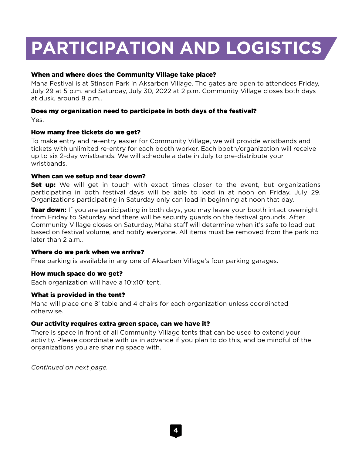## **PARTICIPATION AND LOGISTICS**

#### When and where does the Community Village take place?

Maha Festival is at Stinson Park in Aksarben Village. The gates are open to attendees Friday, July 29 at 5 p.m. and Saturday, July 30, 2022 at 2 p.m. Community Village closes both days at dusk, around 8 p.m..

#### Does my organization need to participate in both days of the festival?

Yes.

#### How many free tickets do we get?

To make entry and re-entry easier for Community Village, we will provide wristbands and tickets with unlimited re-entry for each booth worker. Each booth/organization will receive up to six 2-day wristbands. We will schedule a date in July to pre-distribute your wristbands.

#### When can we setup and tear down?

**Set up:** We will get in touch with exact times closer to the event, but organizations participating in both festival days will be able to load in at noon on Friday, July 29. Organizations participating in Saturday only can load in beginning at noon that day.

**Tear down:** If you are participating in both days, you may leave your booth intact overnight from Friday to Saturday and there will be security guards on the festival grounds. After Community Village closes on Saturday, Maha staff will determine when it's safe to load out based on festival volume, and notify everyone. All items must be removed from the park no later than 2 a.m..

#### Where do we park when we arrive?

Free parking is available in any one of Aksarben Village's four parking garages.

#### How much space do we get?

Each organization will have a 10'x10' tent.

#### What is provided in the tent?

Maha will place one 8' table and 4 chairs for each organization unless coordinated otherwise.

#### Our activity requires extra green space, can we have it?

There is space in front of all Community Village tents that can be used to extend your activity. Please coordinate with us in advance if you plan to do this, and be mindful of the organizations you are sharing space with.

*Continued on next page.*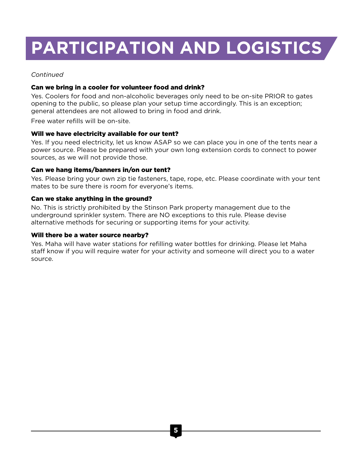### **PARTICIPATION AND LOGISTICS**

#### *Continued*

#### Can we bring in a cooler for volunteer food and drink?

Yes. Coolers for food and non-alcoholic beverages only need to be on-site PRIOR to gates opening to the public, so please plan your setup time accordingly. This is an exception; general attendees are not allowed to bring in food and drink.

Free water refills will be on-site.

#### Will we have electricity available for our tent?

Yes. If you need electricity, let us know ASAP so we can place you in one of the tents near a power source. Please be prepared with your own long extension cords to connect to power sources, as we will not provide those.

#### Can we hang items/banners in/on our tent?

Yes. Please bring your own zip tie fasteners, tape, rope, etc. Please coordinate with your tent mates to be sure there is room for everyone's items.

#### Can we stake anything in the ground?

No. This is strictly prohibited by the Stinson Park property management due to the underground sprinkler system. There are NO exceptions to this rule. Please devise alternative methods for securing or supporting items for your activity.

#### Will there be a water source nearby?

Yes. Maha will have water stations for refilling water bottles for drinking. Please let Maha staff know if you will require water for your activity and someone will direct you to a water source.